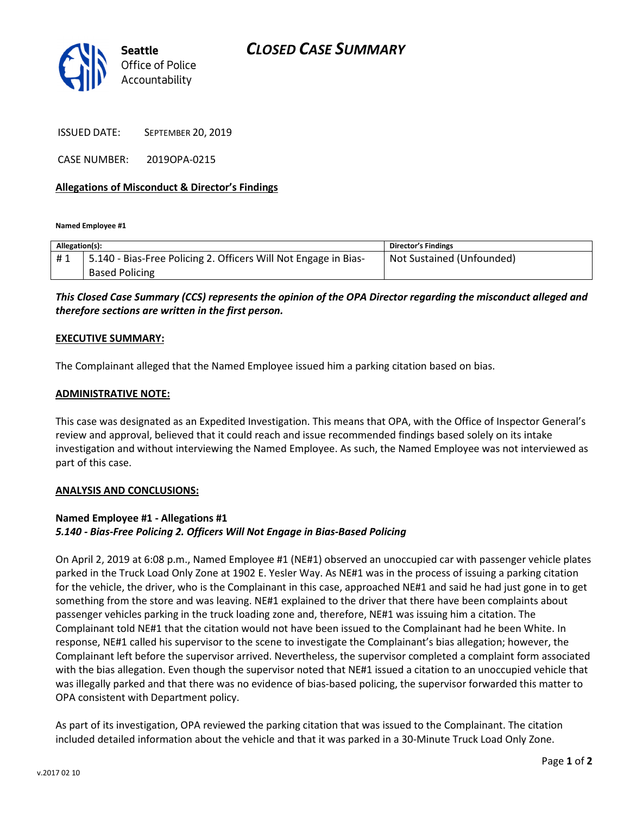# CLOSED CASE SUMMARY



ISSUED DATE: SEPTEMBER 20, 2019

CASE NUMBER: 2019OPA-0215

### Allegations of Misconduct & Director's Findings

Named Employee #1

| Allegation(s): |                                                                 | <b>Director's Findings</b> |
|----------------|-----------------------------------------------------------------|----------------------------|
| #1             | 5.140 - Bias-Free Policing 2. Officers Will Not Engage in Bias- | Not Sustained (Unfounded)  |
|                | <b>Based Policing</b>                                           |                            |

This Closed Case Summary (CCS) represents the opinion of the OPA Director regarding the misconduct alleged and therefore sections are written in the first person.

#### EXECUTIVE SUMMARY:

The Complainant alleged that the Named Employee issued him a parking citation based on bias.

#### ADMINISTRATIVE NOTE:

This case was designated as an Expedited Investigation. This means that OPA, with the Office of Inspector General's review and approval, believed that it could reach and issue recommended findings based solely on its intake investigation and without interviewing the Named Employee. As such, the Named Employee was not interviewed as part of this case.

### ANALYSIS AND CONCLUSIONS:

## Named Employee #1 - Allegations #1 5.140 - Bias-Free Policing 2. Officers Will Not Engage in Bias-Based Policing

On April 2, 2019 at 6:08 p.m., Named Employee #1 (NE#1) observed an unoccupied car with passenger vehicle plates parked in the Truck Load Only Zone at 1902 E. Yesler Way. As NE#1 was in the process of issuing a parking citation for the vehicle, the driver, who is the Complainant in this case, approached NE#1 and said he had just gone in to get something from the store and was leaving. NE#1 explained to the driver that there have been complaints about passenger vehicles parking in the truck loading zone and, therefore, NE#1 was issuing him a citation. The Complainant told NE#1 that the citation would not have been issued to the Complainant had he been White. In response, NE#1 called his supervisor to the scene to investigate the Complainant's bias allegation; however, the Complainant left before the supervisor arrived. Nevertheless, the supervisor completed a complaint form associated with the bias allegation. Even though the supervisor noted that NE#1 issued a citation to an unoccupied vehicle that was illegally parked and that there was no evidence of bias-based policing, the supervisor forwarded this matter to OPA consistent with Department policy.

As part of its investigation, OPA reviewed the parking citation that was issued to the Complainant. The citation included detailed information about the vehicle and that it was parked in a 30-Minute Truck Load Only Zone.